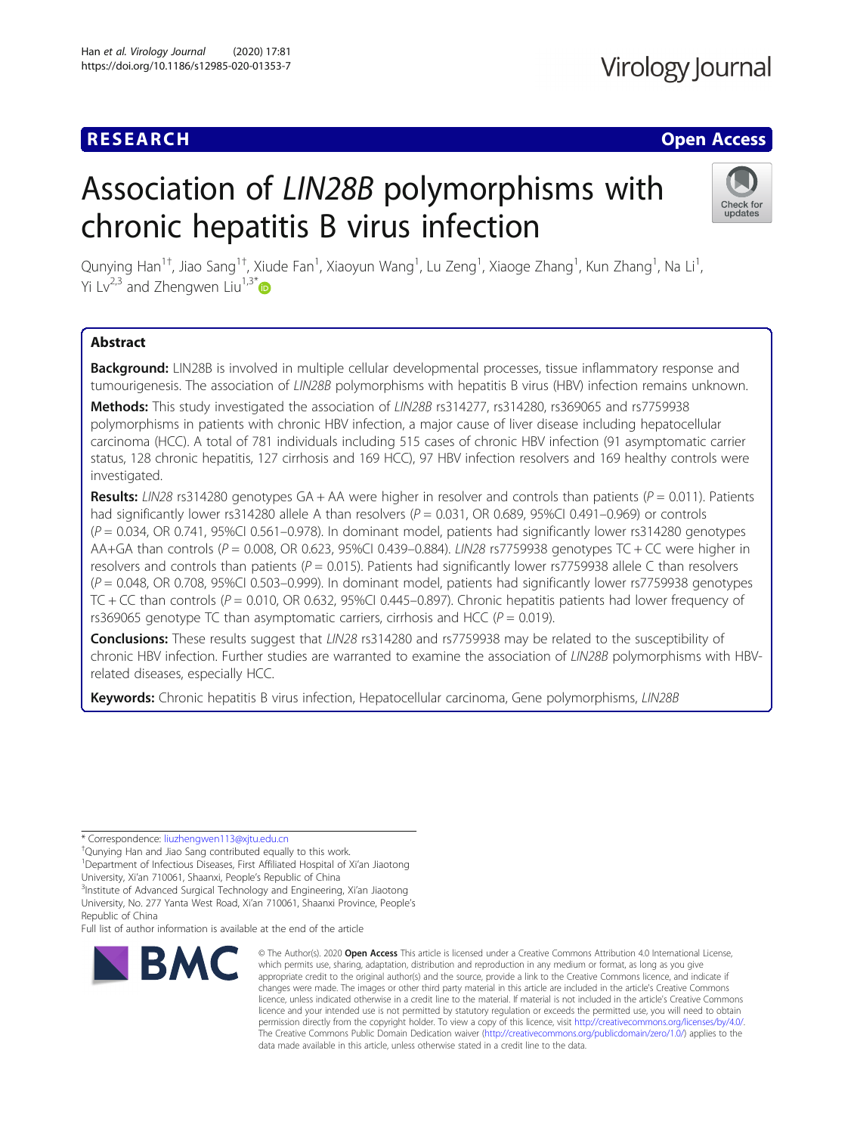## **RESEARCH CHE Open Access**

# Association of LIN28B polymorphisms with chronic hepatitis B virus infection



Qunying Han<sup>1†</sup>, Jiao Sang<sup>1†</sup>, Xiude Fan<sup>1</sup>, Xiaoyun Wang<sup>1</sup>, Lu Zeng<sup>1</sup>, Xiaoge Zhang<sup>1</sup>, Kun Zhang<sup>1</sup>, Na Li<sup>1</sup> , Yi Lv<sup>2,3</sup> and Zhengwen Liu<sup>1,3[\\*](http://orcid.org/0000-0002-3965-4947)</sup>

### Abstract

Background: LIN28B is involved in multiple cellular developmental processes, tissue inflammatory response and tumourigenesis. The association of LIN28B polymorphisms with hepatitis B virus (HBV) infection remains unknown.

Methods: This study investigated the association of LIN28B rs314277, rs314280, rs369065 and rs7759938 polymorphisms in patients with chronic HBV infection, a major cause of liver disease including hepatocellular carcinoma (HCC). A total of 781 individuals including 515 cases of chronic HBV infection (91 asymptomatic carrier status, 128 chronic hepatitis, 127 cirrhosis and 169 HCC), 97 HBV infection resolvers and 169 healthy controls were investigated.

Results: LIN28 rs314280 genotypes GA + AA were higher in resolver and controls than patients ( $P = 0.011$ ). Patients had significantly lower rs314280 allele A than resolvers ( $P = 0.031$ , OR 0.689, 95%Cl 0.491–0.969) or controls  $(P = 0.034, \text{ OR } 0.741, 95\% \text{ CI } 0.561 - 0.978$ ). In dominant model, patients had significantly lower rs314280 genotypes AA+GA than controls ( $P = 0.008$ , OR 0.623, 95%CI 0.439–0.884). LIN28 rs7759938 genotypes TC + CC were higher in resolvers and controls than patients ( $P = 0.015$ ). Patients had significantly lower rs7759938 allele C than resolvers  $(P = 0.048, \text{OR } 0.708, 95\% \text{Cl } 0.503 - 0.999)$ . In dominant model, patients had significantly lower rs7759938 genotypes TC + CC than controls ( $P = 0.010$ , OR 0.632, 95%CI 0.445–0.897). Chronic hepatitis patients had lower frequency of rs369065 genotype TC than asymptomatic carriers, cirrhosis and HCC ( $P = 0.019$ ).

**Conclusions:** These results suggest that LIN28 rs314280 and rs7759938 may be related to the susceptibility of chronic HBV infection. Further studies are warranted to examine the association of LIN28B polymorphisms with HBVrelated diseases, especially HCC.

Keywords: Chronic hepatitis B virus infection, Hepatocellular carcinoma, Gene polymorphisms, LIN28B

Full list of author information is available at the end of the article



<sup>©</sup> The Author(s), 2020 **Open Access** This article is licensed under a Creative Commons Attribution 4.0 International License, which permits use, sharing, adaptation, distribution and reproduction in any medium or format, as long as you give appropriate credit to the original author(s) and the source, provide a link to the Creative Commons licence, and indicate if changes were made. The images or other third party material in this article are included in the article's Creative Commons licence, unless indicated otherwise in a credit line to the material. If material is not included in the article's Creative Commons licence and your intended use is not permitted by statutory regulation or exceeds the permitted use, you will need to obtain permission directly from the copyright holder. To view a copy of this licence, visit [http://creativecommons.org/licenses/by/4.0/.](http://creativecommons.org/licenses/by/4.0/) The Creative Commons Public Domain Dedication waiver [\(http://creativecommons.org/publicdomain/zero/1.0/](http://creativecommons.org/publicdomain/zero/1.0/)) applies to the data made available in this article, unless otherwise stated in a credit line to the data.

<sup>\*</sup> Correspondence: [liuzhengwen113@xjtu.edu.cn](mailto:liuzhengwen113@xjtu.edu.cn) †

<sup>&</sup>lt;sup>+</sup>Qunying Han and Jiao Sang contributed equally to this work.

<sup>&</sup>lt;sup>1</sup>Department of Infectious Diseases, First Affiliated Hospital of Xi'an Jiaotong

University, Xi'an 710061, Shaanxi, People's Republic of China <sup>3</sup>

<sup>&</sup>lt;sup>3</sup>Institute of Advanced Surgical Technology and Engineering, Xi'an Jiaotong

University, No. 277 Yanta West Road, Xi'an 710061, Shaanxi Province, People's Republic of China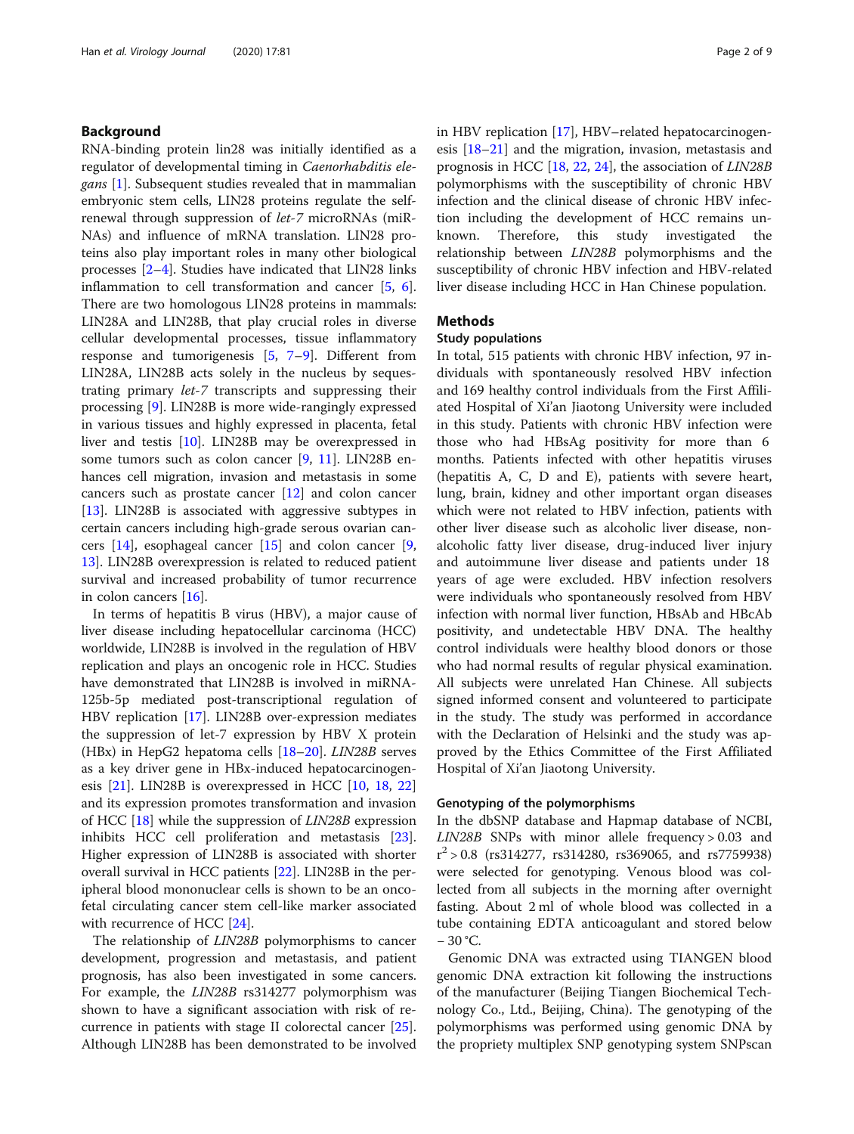#### Background

RNA-binding protein lin28 was initially identified as a regulator of developmental timing in Caenorhabditis ele*gans* [[1\]](#page-7-0). Subsequent studies revealed that in mammalian embryonic stem cells, LIN28 proteins regulate the selfrenewal through suppression of let-7 microRNAs (miR-NAs) and influence of mRNA translation. LIN28 proteins also play important roles in many other biological processes [[2](#page-7-0)–[4\]](#page-7-0). Studies have indicated that LIN28 links inflammation to cell transformation and cancer [\[5](#page-7-0), [6](#page-7-0)]. There are two homologous LIN28 proteins in mammals: LIN28A and LIN28B, that play crucial roles in diverse cellular developmental processes, tissue inflammatory response and tumorigenesis [[5,](#page-7-0) [7](#page-7-0)–[9](#page-7-0)]. Different from LIN28A, LIN28B acts solely in the nucleus by sequestrating primary let-7 transcripts and suppressing their processing [[9\]](#page-7-0). LIN28B is more wide-rangingly expressed in various tissues and highly expressed in placenta, fetal liver and testis [[10\]](#page-7-0). LIN28B may be overexpressed in some tumors such as colon cancer [[9,](#page-7-0) [11\]](#page-7-0). LIN28B enhances cell migration, invasion and metastasis in some cancers such as prostate cancer [[12](#page-7-0)] and colon cancer [[13\]](#page-7-0). LIN28B is associated with aggressive subtypes in certain cancers including high-grade serous ovarian cancers [[14\]](#page-7-0), esophageal cancer [\[15](#page-7-0)] and colon cancer [\[9](#page-7-0), [13\]](#page-7-0). LIN28B overexpression is related to reduced patient survival and increased probability of tumor recurrence in colon cancers [[16\]](#page-7-0).

In terms of hepatitis B virus (HBV), a major cause of liver disease including hepatocellular carcinoma (HCC) worldwide, LIN28B is involved in the regulation of HBV replication and plays an oncogenic role in HCC. Studies have demonstrated that LIN28B is involved in miRNA-125b-5p mediated post-transcriptional regulation of HBV replication [\[17](#page-7-0)]. LIN28B over-expression mediates the suppression of let-7 expression by HBV X protein (HBx) in HepG2 hepatoma cells [[18](#page-8-0)–[20](#page-8-0)]. LIN28B serves as a key driver gene in HBx-induced hepatocarcinogenesis [\[21](#page-8-0)]. LIN28B is overexpressed in HCC [[10](#page-7-0), [18](#page-8-0), [22](#page-8-0)] and its expression promotes transformation and invasion of HCC [[18](#page-8-0)] while the suppression of LIN28B expression inhibits HCC cell proliferation and metastasis [\[23](#page-8-0)]. Higher expression of LIN28B is associated with shorter overall survival in HCC patients [[22\]](#page-8-0). LIN28B in the peripheral blood mononuclear cells is shown to be an oncofetal circulating cancer stem cell-like marker associated with recurrence of HCC [\[24\]](#page-8-0).

The relationship of LIN28B polymorphisms to cancer development, progression and metastasis, and patient prognosis, has also been investigated in some cancers. For example, the LIN28B rs314277 polymorphism was shown to have a significant association with risk of recurrence in patients with stage II colorectal cancer [\[25](#page-8-0)]. Although LIN28B has been demonstrated to be involved in HBV replication [\[17\]](#page-7-0), HBV–related hepatocarcinogenesis [[18](#page-8-0)–[21\]](#page-8-0) and the migration, invasion, metastasis and prognosis in HCC [[18,](#page-8-0) [22,](#page-8-0) [24\]](#page-8-0), the association of LIN28B polymorphisms with the susceptibility of chronic HBV infection and the clinical disease of chronic HBV infection including the development of HCC remains unknown. Therefore, this study investigated the relationship between LIN28B polymorphisms and the susceptibility of chronic HBV infection and HBV-related liver disease including HCC in Han Chinese population.

#### Methods

#### Study populations

In total, 515 patients with chronic HBV infection, 97 individuals with spontaneously resolved HBV infection and 169 healthy control individuals from the First Affiliated Hospital of Xi'an Jiaotong University were included in this study. Patients with chronic HBV infection were those who had HBsAg positivity for more than 6 months. Patients infected with other hepatitis viruses (hepatitis A, C, D and E), patients with severe heart, lung, brain, kidney and other important organ diseases which were not related to HBV infection, patients with other liver disease such as alcoholic liver disease, nonalcoholic fatty liver disease, drug-induced liver injury and autoimmune liver disease and patients under 18 years of age were excluded. HBV infection resolvers were individuals who spontaneously resolved from HBV infection with normal liver function, HBsAb and HBcAb positivity, and undetectable HBV DNA. The healthy control individuals were healthy blood donors or those who had normal results of regular physical examination. All subjects were unrelated Han Chinese. All subjects signed informed consent and volunteered to participate in the study. The study was performed in accordance with the Declaration of Helsinki and the study was approved by the Ethics Committee of the First Affiliated Hospital of Xi'an Jiaotong University.

#### Genotyping of the polymorphisms

In the dbSNP database and Hapmap database of NCBI, LIN28B SNPs with minor allele frequency > 0.03 and r <sup>2</sup> > 0.8 (rs314277, rs314280, rs369065, and rs7759938) were selected for genotyping. Venous blood was collected from all subjects in the morning after overnight fasting. About 2 ml of whole blood was collected in a tube containing EDTA anticoagulant and stored below − 30 °C.

Genomic DNA was extracted using TIANGEN blood genomic DNA extraction kit following the instructions of the manufacturer (Beijing Tiangen Biochemical Technology Co., Ltd., Beijing, China). The genotyping of the polymorphisms was performed using genomic DNA by the propriety multiplex SNP genotyping system SNPscan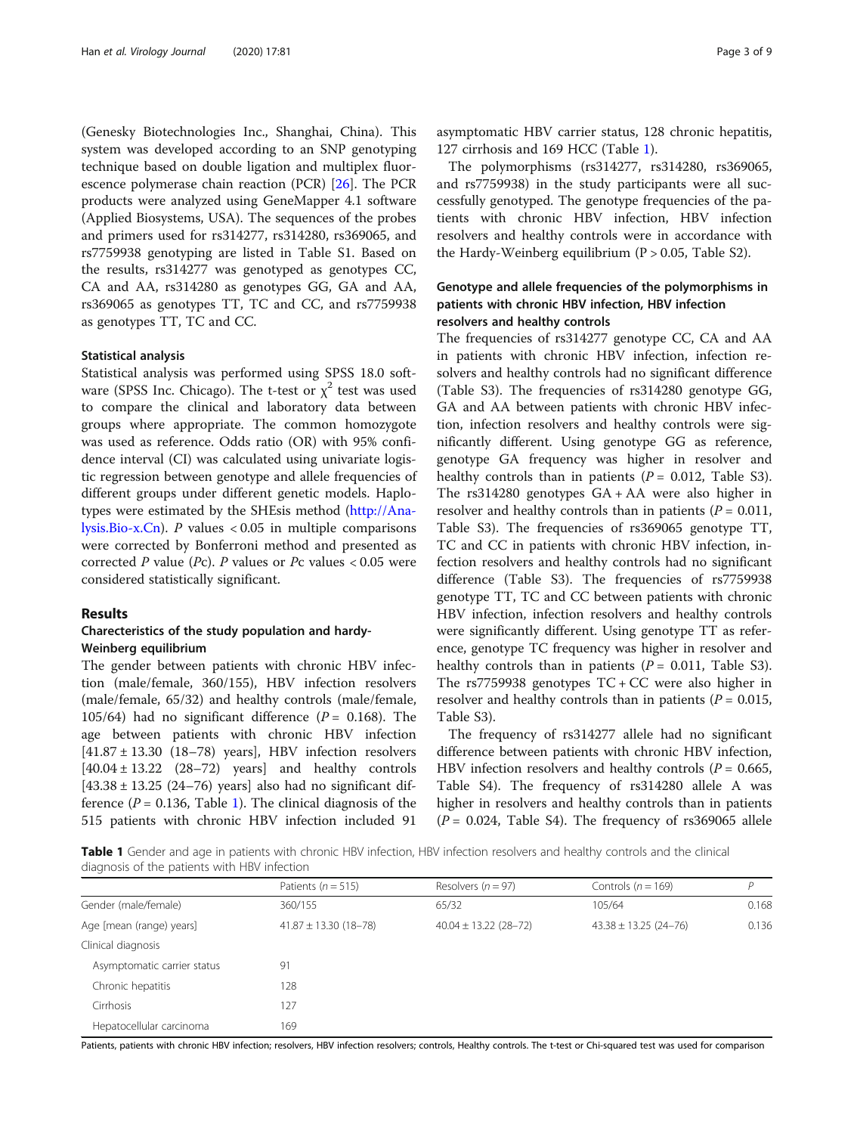(Genesky Biotechnologies Inc., Shanghai, China). This system was developed according to an SNP genotyping technique based on double ligation and multiplex fluorescence polymerase chain reaction (PCR) [\[26\]](#page-8-0). The PCR products were analyzed using GeneMapper 4.1 software (Applied Biosystems, USA). The sequences of the probes and primers used for rs314277, rs314280, rs369065, and rs7759938 genotyping are listed in Table S1. Based on the results, rs314277 was genotyped as genotypes CC, CA and AA, rs314280 as genotypes GG, GA and AA, rs369065 as genotypes TT, TC and CC, and rs7759938 as genotypes TT, TC and CC.

#### Statistical analysis

Statistical analysis was performed using SPSS 18.0 software (SPSS Inc. Chicago). The t-test or  $\chi^2$  test was used to compare the clinical and laboratory data between groups where appropriate. The common homozygote was used as reference. Odds ratio (OR) with 95% confidence interval (CI) was calculated using univariate logistic regression between genotype and allele frequencies of different groups under different genetic models. Haplotypes were estimated by the SHEsis method ([http://Ana](http://analysis.bio-x.cn)[lysis.Bio-x.Cn](http://analysis.bio-x.cn)). P values  $< 0.05$  in multiple comparisons were corrected by Bonferroni method and presented as corrected  $P$  value ( $Pc$ ).  $P$  values or  $Pc$  values  $< 0.05$  were considered statistically significant.

#### Results

#### Charecteristics of the study population and hardy-Weinberg equilibrium

The gender between patients with chronic HBV infection (male/female, 360/155), HBV infection resolvers (male/female, 65/32) and healthy controls (male/female, 105/64) had no significant difference ( $P = 0.168$ ). The age between patients with chronic HBV infection [41.87 ± 13.30 (18–78) years], HBV infection resolvers  $[40.04 \pm 13.22 \quad (28-72)$  years and healthy controls  $[43.38 \pm 13.25 (24 - 76)$  years] also had no significant difference ( $P = 0.136$ , Table 1). The clinical diagnosis of the 515 patients with chronic HBV infection included 91 asymptomatic HBV carrier status, 128 chronic hepatitis, 127 cirrhosis and 169 HCC (Table 1).

The polymorphisms (rs314277, rs314280, rs369065, and rs7759938) in the study participants were all successfully genotyped. The genotype frequencies of the patients with chronic HBV infection, HBV infection resolvers and healthy controls were in accordance with the Hardy-Weinberg equilibrium  $(P > 0.05,$  Table S2).

#### Genotype and allele frequencies of the polymorphisms in patients with chronic HBV infection, HBV infection resolvers and healthy controls

The frequencies of rs314277 genotype CC, CA and AA in patients with chronic HBV infection, infection resolvers and healthy controls had no significant difference (Table S3). The frequencies of rs314280 genotype GG, GA and AA between patients with chronic HBV infection, infection resolvers and healthy controls were significantly different. Using genotype GG as reference, genotype GA frequency was higher in resolver and healthy controls than in patients ( $P = 0.012$ , Table S3). The rs314280 genotypes GA + AA were also higher in resolver and healthy controls than in patients ( $P = 0.011$ , Table S3). The frequencies of rs369065 genotype TT, TC and CC in patients with chronic HBV infection, infection resolvers and healthy controls had no significant difference (Table S3). The frequencies of rs7759938 genotype TT, TC and CC between patients with chronic HBV infection, infection resolvers and healthy controls were significantly different. Using genotype TT as reference, genotype TC frequency was higher in resolver and healthy controls than in patients ( $P = 0.011$ , Table S3). The  $rs7759938$  genotypes  $TC + CC$  were also higher in resolver and healthy controls than in patients ( $P = 0.015$ , Table S3).

The frequency of rs314277 allele had no significant difference between patients with chronic HBV infection, HBV infection resolvers and healthy controls ( $P = 0.665$ , Table S4). The frequency of rs314280 allele A was higher in resolvers and healthy controls than in patients  $(P = 0.024,$  Table S4). The frequency of rs369065 allele

Table 1 Gender and age in patients with chronic HBV infection, HBV infection resolvers and healthy controls and the clinical diagnosis of the patients with HBV infection

|                             | Patients ( $n = 515$ )    | Resolvers ( $n = 97$ )    | Controls ( $n = 169$ )    | D     |
|-----------------------------|---------------------------|---------------------------|---------------------------|-------|
| Gender (male/female)        | 360/155                   | 65/32                     | 105/64                    | 0.168 |
| Age [mean (range) years]    | $41.87 \pm 13.30$ (18-78) | $40.04 \pm 13.22$ (28-72) | $43.38 \pm 13.25$ (24-76) | 0.136 |
| Clinical diagnosis          |                           |                           |                           |       |
| Asymptomatic carrier status | 91                        |                           |                           |       |
| Chronic hepatitis           | 128                       |                           |                           |       |
| Cirrhosis                   | 127                       |                           |                           |       |
| Hepatocellular carcinoma    | 169                       |                           |                           |       |

Patients, patients with chronic HBV infection; resolvers, HBV infection resolvers; controls, Healthy controls. The t-test or Chi-squared test was used for comparison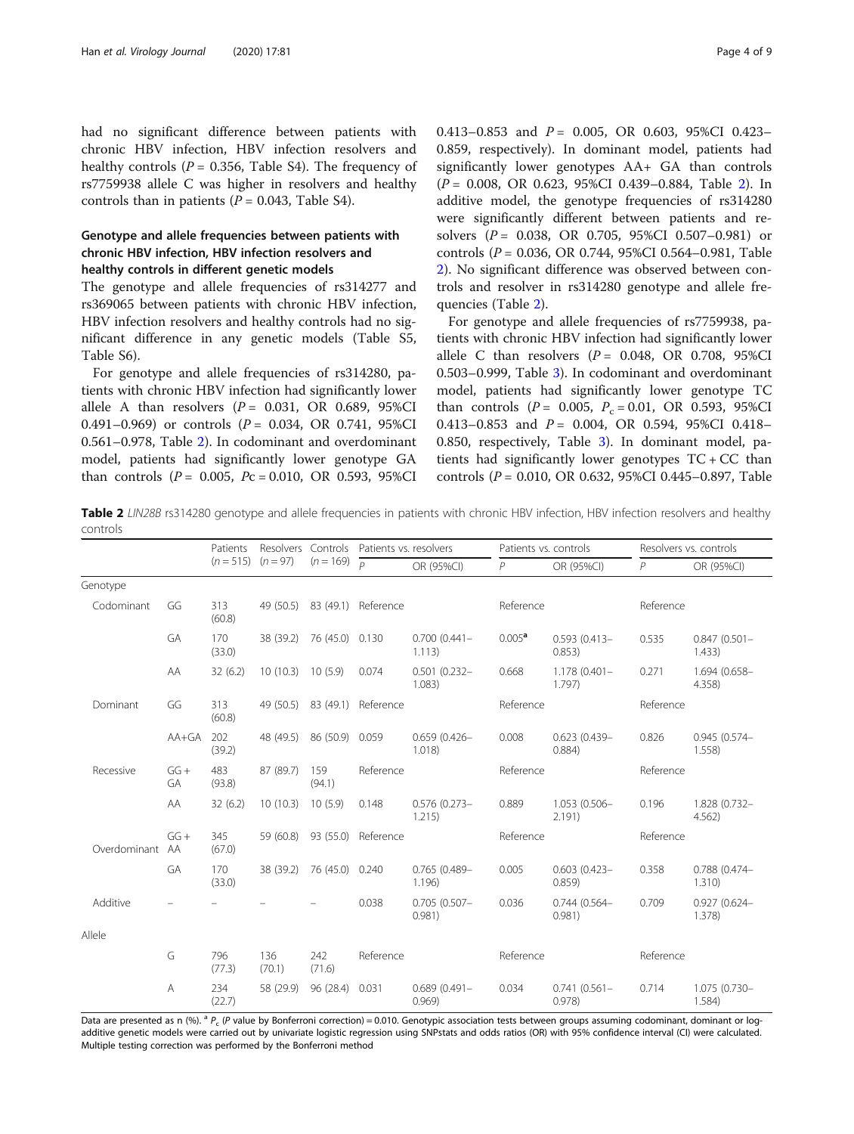had no significant difference between patients with chronic HBV infection, HBV infection resolvers and healthy controls ( $P = 0.356$ , Table S4). The frequency of rs7759938 allele C was higher in resolvers and healthy controls than in patients ( $P = 0.043$ , Table S4).

#### Genotype and allele frequencies between patients with chronic HBV infection, HBV infection resolvers and healthy controls in different genetic models

The genotype and allele frequencies of rs314277 and rs369065 between patients with chronic HBV infection, HBV infection resolvers and healthy controls had no significant difference in any genetic models (Table S5, Table S6).

For genotype and allele frequencies of rs314280, patients with chronic HBV infection had significantly lower allele A than resolvers  $(P = 0.031, \text{ OR } 0.689, 95\% \text{ CI}$ 0.491–0.969) or controls  $(P = 0.034, \text{ OR } 0.741, \text{ 95%CI}$ 0.561–0.978, Table 2). In codominant and overdominant model, patients had significantly lower genotype GA than controls ( $P = 0.005$ ,  $Pc = 0.010$ , OR 0.593, 95%CI 0.413–0.853 and  $P = 0.005$ , OR 0.603, 95%CI 0.423– 0.859, respectively). In dominant model, patients had significantly lower genotypes AA+ GA than controls (P = 0.008, OR 0.623, 95%CI 0.439–0.884, Table 2). In additive model, the genotype frequencies of rs314280 were significantly different between patients and resolvers ( $P = 0.038$ , OR 0.705, 95%CI 0.507-0.981) or controls ( $P = 0.036$ , OR 0.744, 95%CI 0.564-0.981, Table 2). No significant difference was observed between controls and resolver in rs314280 genotype and allele frequencies (Table 2).

For genotype and allele frequencies of rs7759938, patients with chronic HBV infection had significantly lower allele C than resolvers  $(P = 0.048, \text{ OR } 0.708, 95\% \text{ CI}$ 0.503–0.999, Table [3\)](#page-4-0). In codominant and overdominant model, patients had significantly lower genotype TC than controls ( $P = 0.005$ ,  $P_c = 0.01$ , OR 0.593, 95%CI 0.413-0.853 and  $P = 0.004$ , OR 0.594, 95%CI 0.418-0.850, respectively, Table [3](#page-4-0)). In dominant model, patients had significantly lower genotypes  $TC + CC$  than controls (P = 0.010, OR 0.632, 95%CI 0.445–0.897, Table

Table 2 LIN28B rs314280 genotype and allele frequencies in patients with chronic HBV infection, HBV infection resolvers and healthy controls

|                 |             | Patients      | $(n = 515)$ $(n = 97)$ | $(n = 169)$               | Resolvers Controls Patients vs. resolvers |                           | Patients vs. controls |                           | Resolvers vs. controls |                           |
|-----------------|-------------|---------------|------------------------|---------------------------|-------------------------------------------|---------------------------|-----------------------|---------------------------|------------------------|---------------------------|
|                 |             |               |                        |                           |                                           | OR (95%CI)                | P                     | OR (95%CI)                | P                      | OR (95%CI)                |
| Genotype        |             |               |                        |                           |                                           |                           |                       |                           |                        |                           |
| Codominant      | GG          | 313<br>(60.8) |                        |                           | 49 (50.5) 83 (49.1) Reference             |                           | Reference             |                           | Reference              |                           |
|                 | GA          | 170<br>(33.0) |                        | 38 (39.2) 76 (45.0) 0.130 |                                           | $0.700(0.441 -$<br>1.113) | $0.005^{\text{a}}$    | $0.593(0.413 -$<br>0.853) | 0.535                  | $0.847(0.501 -$<br>1.433) |
|                 | AA          | 32(6.2)       | $10(10.3)$ $10(5.9)$   |                           | 0.074                                     | $0.501(0.232 -$<br>1.083) | 0.668                 | $1.178(0.401 -$<br>1.797) | 0.271                  | 1.694 (0.658-<br>4.358    |
| Dominant        | GG          | 313<br>(60.8) |                        |                           | 49 (50.5) 83 (49.1) Reference             |                           | Reference             |                           | Reference              |                           |
|                 | AA+GA       | 202<br>(39.2) |                        | 48 (49.5) 86 (50.9) 0.059 |                                           | $0.659(0.426 -$<br>1.018) | 0.008                 | $0.623(0.439 -$<br>0.884) | 0.826                  | 0.945 (0.574-<br>1.558    |
| Recessive       | $GG+$<br>GA | 483<br>(93.8) | 87 (89.7)              | 159<br>(94.1)             | Reference                                 |                           | Reference             |                           | Reference              |                           |
|                 | AA          | 32(6.2)       | $10(10.3)$ $10(5.9)$   |                           | 0.148                                     | $0.576(0.273 -$<br>1.215) | 0.889                 | $1.053(0.506 -$<br>2.191) | 0.196                  | 1.828 (0.732-<br>4.562    |
| Overdominant AA | $GG +$      | 345<br>(67.0) | 59 (60.8)              |                           | 93 (55.0) Reference                       |                           | Reference             |                           | Reference              |                           |
|                 | GA          | 170<br>(33.0) |                        | 38 (39.2) 76 (45.0) 0.240 |                                           | $0.765(0.489 -$<br>1.196) | 0.005                 | $0.603(0.423 -$<br>0.859  | 0.358                  | 0.788 (0.474-<br>1.310)   |
| Additive        |             |               |                        |                           | 0.038                                     | $0.705(0.507 -$<br>0.981) | 0.036                 | $0.744(0.564-$<br>0.981   | 0.709                  | $0.927(0.624 -$<br>1.378) |
| Allele          |             |               |                        |                           |                                           |                           |                       |                           |                        |                           |
|                 | G           | 796<br>(77.3) | 136<br>(70.1)          | 242<br>(71.6)             | Reference                                 |                           | Reference             |                           | Reference              |                           |
|                 | A           | 234<br>(22.7) | 58 (29.9)              | 96 (28.4) 0.031           |                                           | $0.689(0.491 -$<br>0.969  | 0.034                 | $0.741(0.561 -$<br>0.978) | 0.714                  | 1.075 (0.730-<br>1.584)   |

Data are presented as n (%). <sup>a</sup> P<sub>c</sub> (P value by Bonferroni correction) = 0.010. Genotypic association tests between groups assuming codominant, dominant or logadditive genetic models were carried out by univariate logistic regression using SNPstats and odds ratios (OR) with 95% confidence interval (CI) were calculated. Multiple testing correction was performed by the Bonferroni method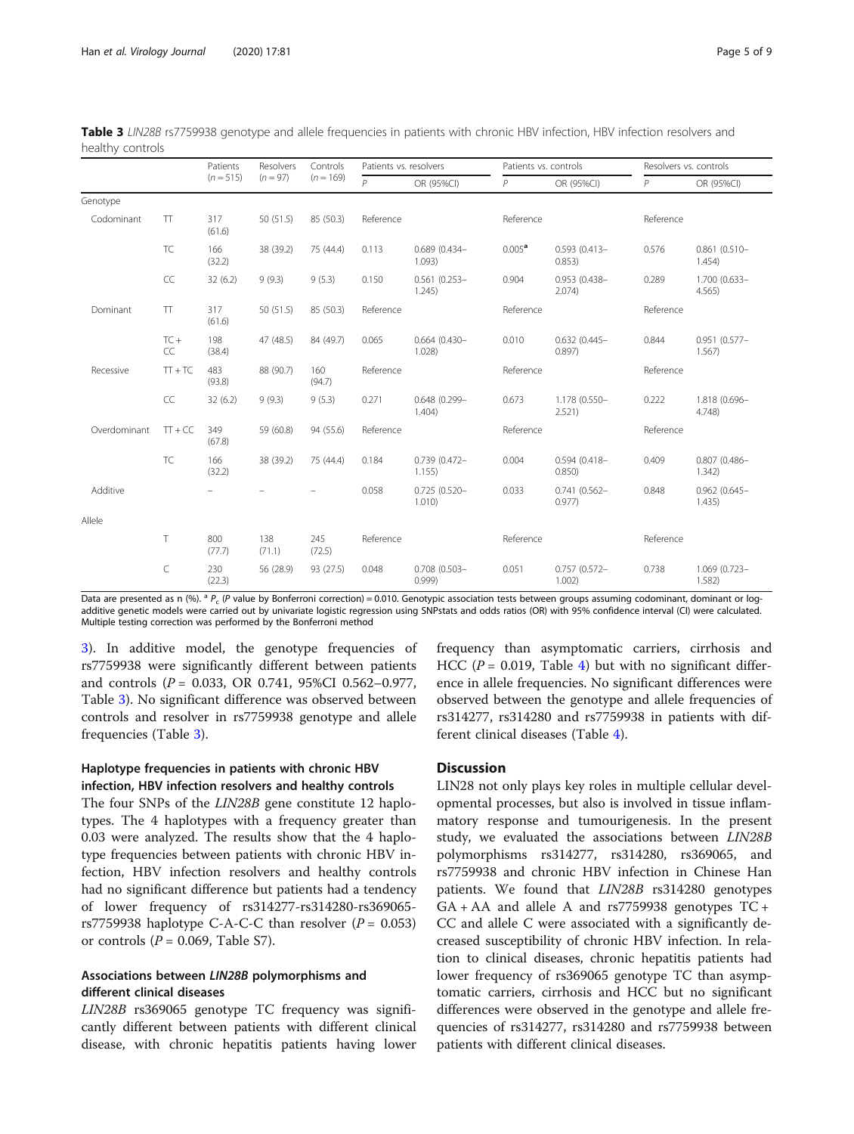|              |              | Patients<br>$(n = 515)$ | Resolvers<br>$(n = 97)$ | Controls<br>$(n = 169)$ | Patients vs. resolvers |                             |                    | Patients vs. controls     |           | Resolvers vs. controls    |  |
|--------------|--------------|-------------------------|-------------------------|-------------------------|------------------------|-----------------------------|--------------------|---------------------------|-----------|---------------------------|--|
|              |              |                         |                         |                         | $\overline{P}$         | OR (95%CI)                  | P                  | OR (95%CI)                | P         | OR (95%CI)                |  |
| Genotype     |              |                         |                         |                         |                        |                             |                    |                           |           |                           |  |
| Codominant   | $\top$       | 317<br>(61.6)           | 50(51.5)                | 85 (50.3)               | Reference              |                             | Reference          |                           | Reference |                           |  |
|              | TC           | 166<br>(32.2)           | 38 (39.2)               | 75 (44.4)               | 0.113                  | 0.689 (0.434-<br>1.093)     | $0.005^{\text{a}}$ | $0.593(0.413 -$<br>0.853) | 0.576     | $0.861(0.510 -$<br>1.454) |  |
|              | CC           | 32(6.2)                 | 9(9.3)                  | 9(5.3)                  | 0.150                  | $0.561(0.253 -$<br>1.245)   | 0.904              | 0.953 (0.438-<br>2.074)   | 0.289     | 1.700 (0.633-<br>4.565    |  |
| Dominant     | $\top$       | 317<br>(61.6)           | 50(51.5)                | 85 (50.3)               | Reference              |                             | Reference          |                           | Reference |                           |  |
|              | $TC +$<br>CC | 198<br>(38.4)           | 47 (48.5)               | 84 (49.7)               | 0.065                  | $0.664(0.430 -$<br>1.028    | 0.010              | $0.632(0.445 -$<br>0.897) | 0.844     | $0.951(0.577 -$<br>1.567) |  |
| Recessive    | $TT + TC$    | 483<br>(93.8)           | 88 (90.7)               | 160<br>(94.7)           | Reference              |                             | Reference          |                           | Reference |                           |  |
|              | CC           | 32(6.2)                 | 9(9.3)                  | 9(5.3)                  | 0.271                  | 0.648 (0.299-<br>1.404)     | 0.673              | 1.178 (0.550-<br>2.521)   | 0.222     | 1.818 (0.696-<br>4.748)   |  |
| Overdominant | $TT + CC$    | 349<br>(67.8)           | 59 (60.8)               | 94 (55.6)               | Reference              |                             | Reference          |                           | Reference |                           |  |
|              | <b>TC</b>    | 166<br>(32.2)           | 38 (39.2)               | 75 (44.4)               | 0.184                  | $0.739(0.472 -$<br>1.155)   | 0.004              | $0.594(0.418 -$<br>0.850) | 0.409     | $0.807$ (0.486-<br>1.342) |  |
| Additive     |              |                         |                         |                         | 0.058                  | $0.725(0.520 -$<br>1.010    | 0.033              | $0.741(0.562 -$<br>0.977) | 0.848     | $0.962(0.645 -$<br>1.435) |  |
| Allele       |              |                         |                         |                         |                        |                             |                    |                           |           |                           |  |
|              | T            | 800<br>(77.7)           | 138<br>(71.1)           | 245<br>(72.5)           | Reference              |                             | Reference          |                           | Reference |                           |  |
|              | C            | 230<br>(22.3)           | 56 (28.9)               | 93 (27.5)               | 0.048                  | $0.708$ $(0.503 -$<br>0.999 | 0.051              | $0.757(0.572 -$<br>1.002) | 0.738     | 1.069 (0.723-<br>1.582)   |  |

<span id="page-4-0"></span>Table 3 LIN28B rs7759938 genotype and allele frequencies in patients with chronic HBV infection, HBV infection resolvers and healthy controls

Data are presented as n (%).  ${}^{a}P_c$  (P value by Bonferroni correction) = 0.010. Genotypic association tests between groups assuming codominant, dominant or logadditive genetic models were carried out by univariate logistic regression using SNPstats and odds ratios (OR) with 95% confidence interval (CI) were calculated. Multiple testing correction was performed by the Bonferroni method

3). In additive model, the genotype frequencies of rs7759938 were significantly different between patients and controls ( $P = 0.033$ , OR 0.741, 95%CI 0.562-0.977, Table 3). No significant difference was observed between controls and resolver in rs7759938 genotype and allele frequencies (Table 3).

#### Haplotype frequencies in patients with chronic HBV infection, HBV infection resolvers and healthy controls

The four SNPs of the LIN28B gene constitute 12 haplotypes. The 4 haplotypes with a frequency greater than 0.03 were analyzed. The results show that the 4 haplotype frequencies between patients with chronic HBV infection, HBV infection resolvers and healthy controls had no significant difference but patients had a tendency of lower frequency of rs314277-rs314280-rs369065 rs7759938 haplotype C-A-C-C than resolver  $(P = 0.053)$ or controls ( $P = 0.069$ , Table S7).

#### Associations between LIN28B polymorphisms and different clinical diseases

LIN28B rs369065 genotype TC frequency was significantly different between patients with different clinical disease, with chronic hepatitis patients having lower

frequency than asymptomatic carriers, cirrhosis and HCC ( $P = 0.019$ , Table [4](#page-5-0)) but with no significant difference in allele frequencies. No significant differences were observed between the genotype and allele frequencies of rs314277, rs314280 and rs7759938 in patients with different clinical diseases (Table [4\)](#page-5-0).

#### **Discussion**

LIN28 not only plays key roles in multiple cellular developmental processes, but also is involved in tissue inflammatory response and tumourigenesis. In the present study, we evaluated the associations between LIN28B polymorphisms rs314277, rs314280, rs369065, and rs7759938 and chronic HBV infection in Chinese Han patients. We found that LIN28B rs314280 genotypes  $GA + AA$  and allele A and rs7759938 genotypes  $TC +$ CC and allele C were associated with a significantly decreased susceptibility of chronic HBV infection. In relation to clinical diseases, chronic hepatitis patients had lower frequency of rs369065 genotype TC than asymptomatic carriers, cirrhosis and HCC but no significant differences were observed in the genotype and allele frequencies of rs314277, rs314280 and rs7759938 between patients with different clinical diseases.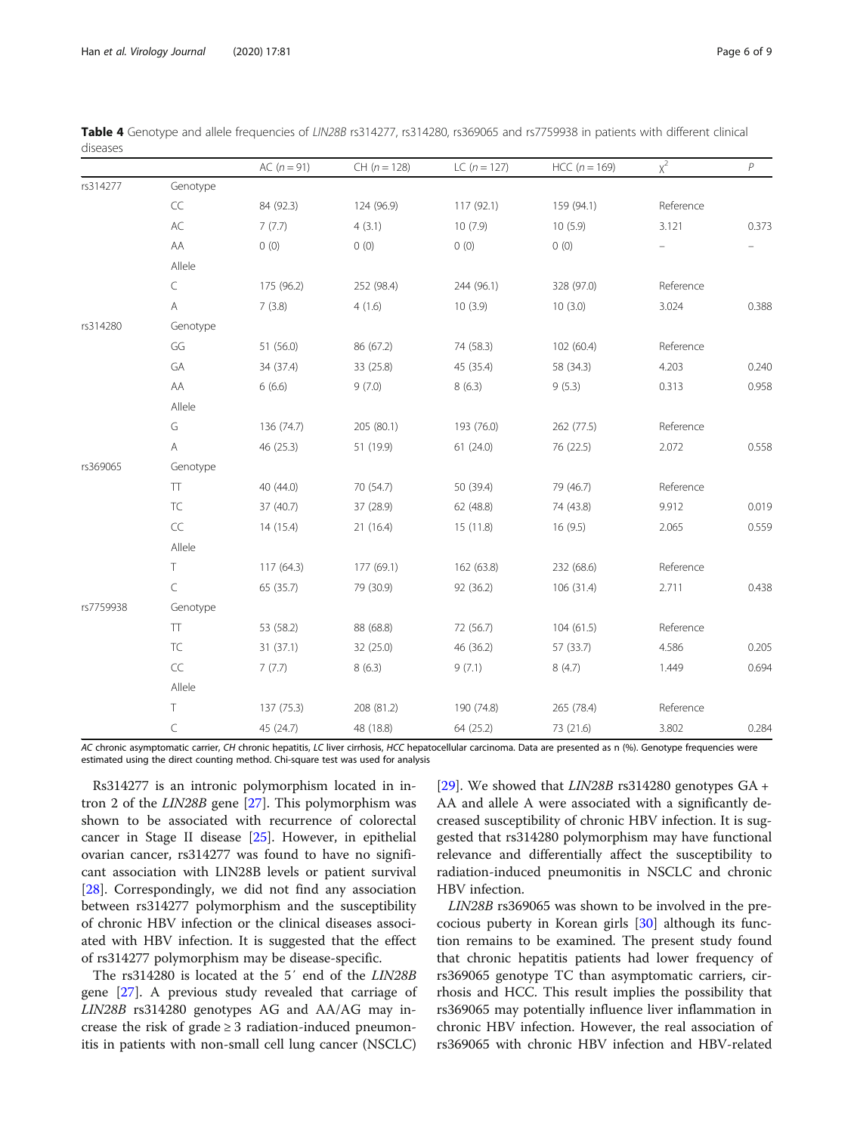|           |               | AC $(n = 91)$ | $CH (n = 128)$ | LC $(n = 127)$ | $HCC (n = 169)$ | $x^2$     | $\overline{P}$           |
|-----------|---------------|---------------|----------------|----------------|-----------------|-----------|--------------------------|
| rs314277  | Genotype      |               |                |                |                 |           |                          |
|           | CC            | 84 (92.3)     | 124 (96.9)     | 117(92.1)      | 159 (94.1)      | Reference |                          |
|           | $\mathsf{AC}$ | 7(7.7)        | 4(3.1)         | 10(7.9)        | 10(5.9)         | 3.121     | 0.373                    |
|           | AA            | 0(0)          | 0(0)           | 0(0)           | 0(0)            |           | $\overline{\phantom{0}}$ |
|           | Allele        |               |                |                |                 |           |                          |
|           | C             | 175 (96.2)    | 252 (98.4)     | 244 (96.1)     | 328 (97.0)      | Reference |                          |
|           | A             | 7(3.8)        | 4(1.6)         | 10(3.9)        | 10(3.0)         | 3.024     | 0.388                    |
| rs314280  | Genotype      |               |                |                |                 |           |                          |
|           | GG            | 51 (56.0)     | 86 (67.2)      | 74 (58.3)      | 102 (60.4)      | Reference |                          |
|           | GA            | 34 (37.4)     | 33 (25.8)      | 45 (35.4)      | 58 (34.3)       | 4.203     | 0.240                    |
|           | AA            | 6(6.6)        | 9(7.0)         | 8(6.3)         | 9(5.3)          | 0.313     | 0.958                    |
|           | Allele        |               |                |                |                 |           |                          |
|           | G             | 136 (74.7)    | 205 (80.1)     | 193 (76.0)     | 262 (77.5)      | Reference |                          |
|           | A             | 46 (25.3)     | 51 (19.9)      | 61(24.0)       | 76 (22.5)       | 2.072     | 0.558                    |
| rs369065  | Genotype      |               |                |                |                 |           |                          |
|           | ${\sf TT}$    | 40 (44.0)     | 70 (54.7)      | 50 (39.4)      | 79 (46.7)       | Reference |                          |
|           | TC            | 37 (40.7)     | 37 (28.9)      | 62 (48.8)      | 74 (43.8)       | 9.912     | 0.019                    |
|           | CC            | 14(15.4)      | 21(16.4)       | 15 (11.8)      | 16(9.5)         | 2.065     | 0.559                    |
|           | Allele        |               |                |                |                 |           |                          |
|           | T             | 117 (64.3)    | 177 (69.1)     | 162 (63.8)     | 232 (68.6)      | Reference |                          |
|           | C             | 65 (35.7)     | 79 (30.9)      | 92 (36.2)      | 106(31.4)       | 2.711     | 0.438                    |
| rs7759938 | Genotype      |               |                |                |                 |           |                          |
|           | $\top\top$    | 53 (58.2)     | 88 (68.8)      | 72 (56.7)      | 104(61.5)       | Reference |                          |
|           | TC            | 31(37.1)      | 32 (25.0)      | 46 (36.2)      | 57 (33.7)       | 4.586     | 0.205                    |
|           | CC            | 7(7.7)        | 8(6.3)         | 9(7.1)         | 8(4.7)          | 1.449     | 0.694                    |
|           | Allele        |               |                |                |                 |           |                          |
|           | T             | 137(75.3)     | 208 (81.2)     | 190 (74.8)     | 265 (78.4)      | Reference |                          |
|           | C             | 45 (24.7)     | 48 (18.8)      | 64 (25.2)      | 73 (21.6)       | 3.802     | 0.284                    |

<span id="page-5-0"></span>Table 4 Genotype and allele frequencies of LIN28B rs314277, rs314280, rs369065 and rs7759938 in patients with different clinical diseases

AC chronic asymptomatic carrier, CH chronic hepatitis, LC liver cirrhosis, HCC hepatocellular carcinoma. Data are presented as n (%). Genotype frequencies were estimated using the direct counting method. Chi-square test was used for analysis

Rs314277 is an intronic polymorphism located in intron 2 of the LIN28B gene [\[27\]](#page-8-0). This polymorphism was shown to be associated with recurrence of colorectal cancer in Stage II disease [[25](#page-8-0)]. However, in epithelial ovarian cancer, rs314277 was found to have no significant association with LIN28B levels or patient survival [[28\]](#page-8-0). Correspondingly, we did not find any association between rs314277 polymorphism and the susceptibility of chronic HBV infection or the clinical diseases associated with HBV infection. It is suggested that the effect of rs314277 polymorphism may be disease-specific.

The rs314280 is located at the 5′ end of the LIN28B gene [\[27](#page-8-0)]. A previous study revealed that carriage of LIN28B rs314280 genotypes AG and AA/AG may increase the risk of grade  $\geq$  3 radiation-induced pneumonitis in patients with non-small cell lung cancer (NSCLC)

[[29\]](#page-8-0). We showed that  $LIN28B$  rs314280 genotypes  $GA +$ AA and allele A were associated with a significantly decreased susceptibility of chronic HBV infection. It is suggested that rs314280 polymorphism may have functional relevance and differentially affect the susceptibility to radiation-induced pneumonitis in NSCLC and chronic HBV infection.

LIN28B rs369065 was shown to be involved in the precocious puberty in Korean girls [[30\]](#page-8-0) although its function remains to be examined. The present study found that chronic hepatitis patients had lower frequency of rs369065 genotype TC than asymptomatic carriers, cirrhosis and HCC. This result implies the possibility that rs369065 may potentially influence liver inflammation in chronic HBV infection. However, the real association of rs369065 with chronic HBV infection and HBV-related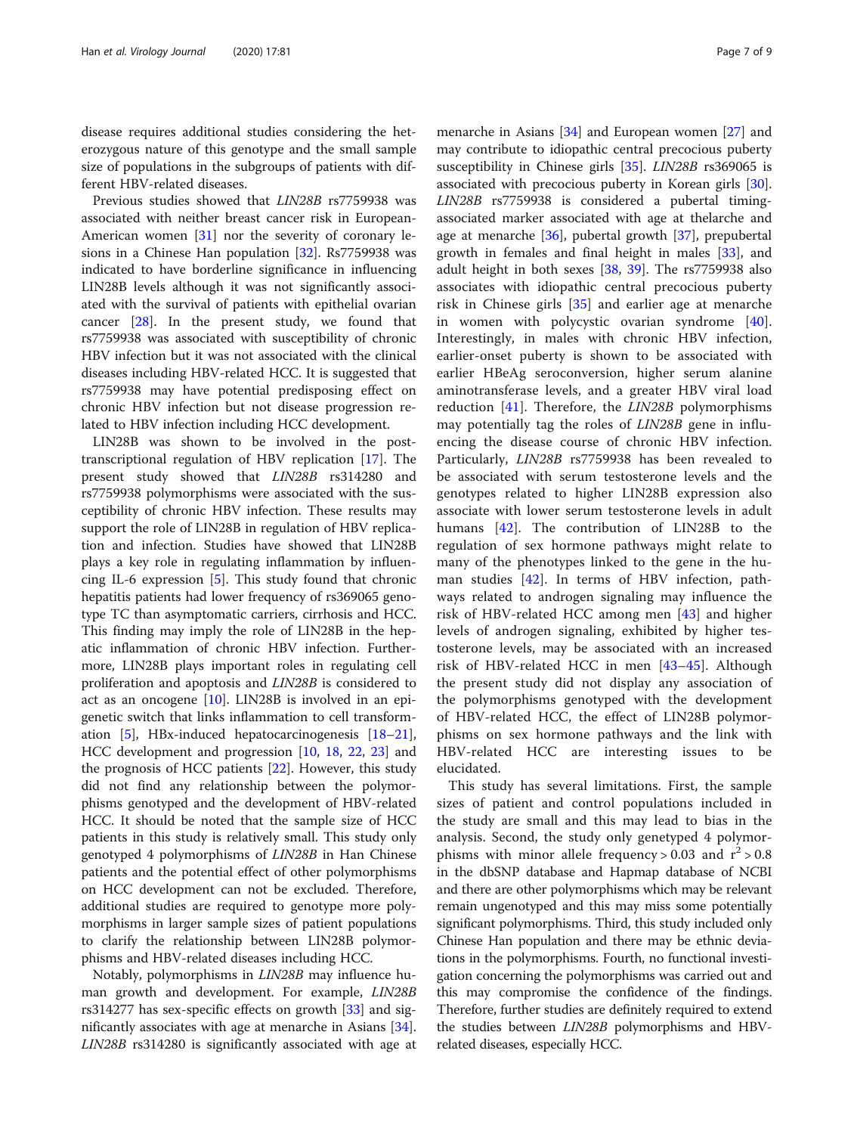disease requires additional studies considering the heterozygous nature of this genotype and the small sample size of populations in the subgroups of patients with different HBV-related diseases.

Previous studies showed that LIN28B rs7759938 was associated with neither breast cancer risk in European-American women [[31](#page-8-0)] nor the severity of coronary lesions in a Chinese Han population [[32\]](#page-8-0). Rs7759938 was indicated to have borderline significance in influencing LIN28B levels although it was not significantly associated with the survival of patients with epithelial ovarian cancer [\[28](#page-8-0)]. In the present study, we found that rs7759938 was associated with susceptibility of chronic HBV infection but it was not associated with the clinical diseases including HBV-related HCC. It is suggested that rs7759938 may have potential predisposing effect on chronic HBV infection but not disease progression related to HBV infection including HCC development.

LIN28B was shown to be involved in the posttranscriptional regulation of HBV replication [[17](#page-7-0)]. The present study showed that LIN28B rs314280 and rs7759938 polymorphisms were associated with the susceptibility of chronic HBV infection. These results may support the role of LIN28B in regulation of HBV replication and infection. Studies have showed that LIN28B plays a key role in regulating inflammation by influencing IL-6 expression [\[5](#page-7-0)]. This study found that chronic hepatitis patients had lower frequency of rs369065 genotype TC than asymptomatic carriers, cirrhosis and HCC. This finding may imply the role of LIN28B in the hepatic inflammation of chronic HBV infection. Furthermore, LIN28B plays important roles in regulating cell proliferation and apoptosis and LIN28B is considered to act as an oncogene [\[10\]](#page-7-0). LIN28B is involved in an epigenetic switch that links inflammation to cell transformation [[5\]](#page-7-0), HBx-induced hepatocarcinogenesis [[18](#page-8-0)–[21](#page-8-0)], HCC development and progression [\[10,](#page-7-0) [18,](#page-8-0) [22,](#page-8-0) [23](#page-8-0)] and the prognosis of HCC patients [[22\]](#page-8-0). However, this study did not find any relationship between the polymorphisms genotyped and the development of HBV-related HCC. It should be noted that the sample size of HCC patients in this study is relatively small. This study only genotyped 4 polymorphisms of LIN28B in Han Chinese patients and the potential effect of other polymorphisms on HCC development can not be excluded. Therefore, additional studies are required to genotype more polymorphisms in larger sample sizes of patient populations to clarify the relationship between LIN28B polymorphisms and HBV-related diseases including HCC.

Notably, polymorphisms in LIN28B may influence human growth and development. For example, LIN28B rs314277 has sex-specific effects on growth [[33](#page-8-0)] and significantly associates with age at menarche in Asians [\[34](#page-8-0)]. LIN28B rs314280 is significantly associated with age at

menarche in Asians [\[34](#page-8-0)] and European women [\[27\]](#page-8-0) and may contribute to idiopathic central precocious puberty susceptibility in Chinese girls [[35\]](#page-8-0). LIN28B rs369065 is associated with precocious puberty in Korean girls [\[30](#page-8-0)]. LIN28B rs7759938 is considered a pubertal timingassociated marker associated with age at thelarche and age at menarche [\[36](#page-8-0)], pubertal growth [[37](#page-8-0)], prepubertal growth in females and final height in males [[33](#page-8-0)], and adult height in both sexes [[38](#page-8-0), [39](#page-8-0)]. The rs7759938 also associates with idiopathic central precocious puberty risk in Chinese girls [[35\]](#page-8-0) and earlier age at menarche in women with polycystic ovarian syndrome [\[40](#page-8-0)]. Interestingly, in males with chronic HBV infection, earlier-onset puberty is shown to be associated with earlier HBeAg seroconversion, higher serum alanine aminotransferase levels, and a greater HBV viral load reduction [[41](#page-8-0)]. Therefore, the LIN28B polymorphisms may potentially tag the roles of LIN28B gene in influencing the disease course of chronic HBV infection. Particularly, LIN28B rs7759938 has been revealed to be associated with serum testosterone levels and the genotypes related to higher LIN28B expression also associate with lower serum testosterone levels in adult humans [\[42](#page-8-0)]. The contribution of LIN28B to the regulation of sex hormone pathways might relate to many of the phenotypes linked to the gene in the human studies [[42\]](#page-8-0). In terms of HBV infection, pathways related to androgen signaling may influence the risk of HBV-related HCC among men [[43\]](#page-8-0) and higher levels of androgen signaling, exhibited by higher testosterone levels, may be associated with an increased risk of HBV-related HCC in men [[43](#page-8-0)–[45\]](#page-8-0). Although the present study did not display any association of the polymorphisms genotyped with the development of HBV-related HCC, the effect of LIN28B polymorphisms on sex hormone pathways and the link with HBV-related HCC are interesting issues to be elucidated.

This study has several limitations. First, the sample sizes of patient and control populations included in the study are small and this may lead to bias in the analysis. Second, the study only genetyped 4 polymorphisms with minor allele frequency > 0.03 and  $r^2$  > 0.8 in the dbSNP database and Hapmap database of NCBI and there are other polymorphisms which may be relevant remain ungenotyped and this may miss some potentially significant polymorphisms. Third, this study included only Chinese Han population and there may be ethnic deviations in the polymorphisms. Fourth, no functional investigation concerning the polymorphisms was carried out and this may compromise the confidence of the findings. Therefore, further studies are definitely required to extend the studies between LIN28B polymorphisms and HBVrelated diseases, especially HCC.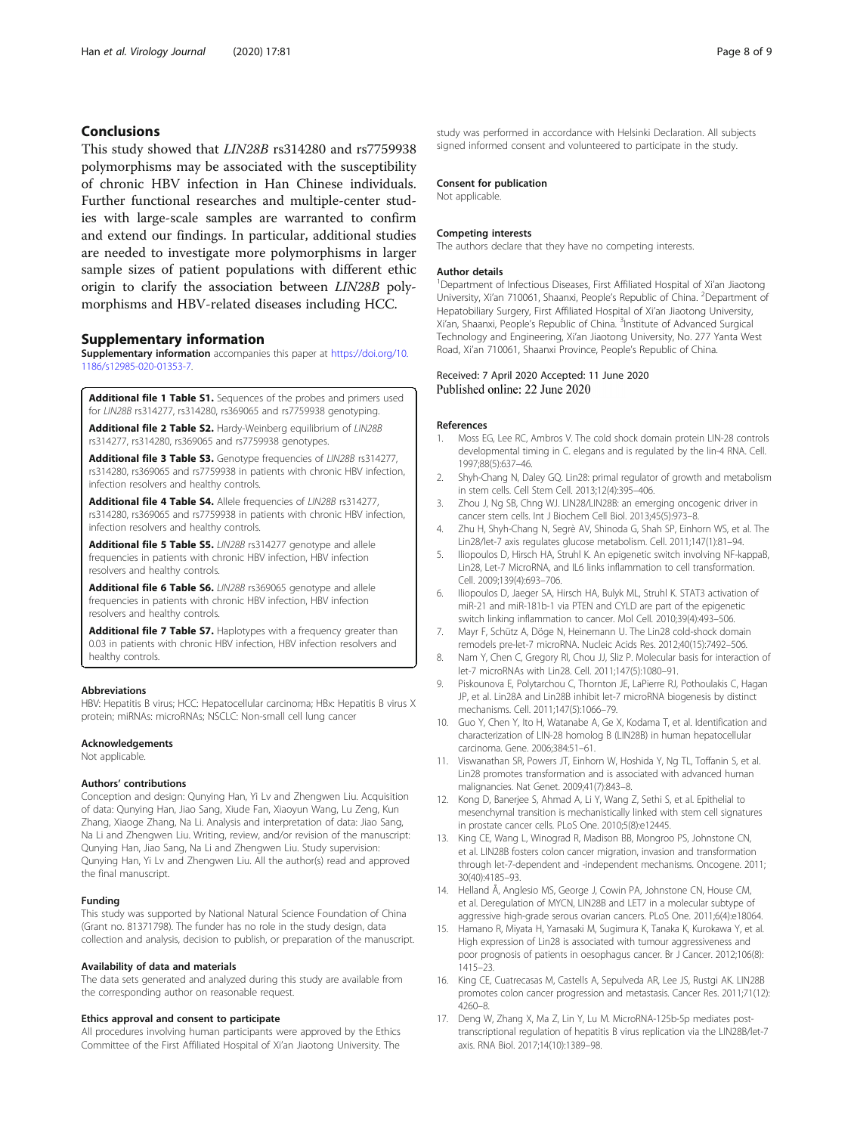#### <span id="page-7-0"></span>Conclusions

This study showed that LIN28B rs314280 and rs7759938 polymorphisms may be associated with the susceptibility of chronic HBV infection in Han Chinese individuals. Further functional researches and multiple-center studies with large-scale samples are warranted to confirm and extend our findings. In particular, additional studies are needed to investigate more polymorphisms in larger sample sizes of patient populations with different ethic origin to clarify the association between LIN28B polymorphisms and HBV-related diseases including HCC.

#### Supplementary information

Supplementary information accompanies this paper at [https://doi.org/10.](https://doi.org/10.1186/s12985-020-01353-7) [1186/s12985-020-01353-7](https://doi.org/10.1186/s12985-020-01353-7).

Additional file 1 Table S1. Sequences of the probes and primers used for LIN28B rs314277, rs314280, rs369065 and rs7759938 genotyping.

Additional file 2 Table S2. Hardy-Weinberg equilibrium of LIN28B rs314277, rs314280, rs369065 and rs7759938 genotypes.

Additional file 3 Table S3. Genotype frequencies of LIN28B rs314277, rs314280, rs369065 and rs7759938 in patients with chronic HBV infection, infection resolvers and healthy controls.

Additional file 4 Table S4. Allele frequencies of LIN28B rs314277, rs314280, rs369065 and rs7759938 in patients with chronic HBV infection, infection resolvers and healthy controls.

Additional file 5 Table S5. LIN28B rs314277 genotype and allele frequencies in patients with chronic HBV infection, HBV infection resolvers and healthy controls.

Additional file 6 Table S6. LIN28B rs369065 genotype and allele frequencies in patients with chronic HBV infection, HBV infection resolvers and healthy controls.

Additional file 7 Table S7. Haplotypes with a frequency greater than 0.03 in patients with chronic HBV infection, HBV infection resolvers and healthy controls.

#### Abbreviations

HBV: Hepatitis B virus; HCC: Hepatocellular carcinoma; HBx: Hepatitis B virus X protein; miRNAs: microRNAs; NSCLC: Non-small cell lung cancer

#### Acknowledgements

Not applicable.

#### Authors' contributions

Conception and design: Qunying Han, Yi Lv and Zhengwen Liu. Acquisition of data: Qunying Han, Jiao Sang, Xiude Fan, Xiaoyun Wang, Lu Zeng, Kun Zhang, Xiaoge Zhang, Na Li. Analysis and interpretation of data: Jiao Sang, Na Li and Zhengwen Liu. Writing, review, and/or revision of the manuscript: Qunying Han, Jiao Sang, Na Li and Zhengwen Liu. Study supervision: Qunying Han, Yi Lv and Zhengwen Liu. All the author(s) read and approved the final manuscript.

#### Funding

This study was supported by National Natural Science Foundation of China (Grant no. 81371798). The funder has no role in the study design, data collection and analysis, decision to publish, or preparation of the manuscript.

#### Availability of data and materials

The data sets generated and analyzed during this study are available from the corresponding author on reasonable request.

#### Ethics approval and consent to participate

All procedures involving human participants were approved by the Ethics Committee of the First Affiliated Hospital of Xi'an Jiaotong University. The

study was performed in accordance with Helsinki Declaration. All subjects signed informed consent and volunteered to participate in the study.

#### Consent for publication

Not applicable.

#### Competing interests

The authors declare that they have no competing interests.

#### Author details

<sup>1</sup>Department of Infectious Diseases, First Affiliated Hospital of Xi'an Jiaotong University, Xi'an 710061, Shaanxi, People's Republic of China. <sup>2</sup>Department of Hepatobiliary Surgery, First Affiliated Hospital of Xi'an Jiaotong University, Xi'an, Shaanxi, People's Republic of China. <sup>3</sup>Institute of Advanced Surgical Technology and Engineering, Xi'an Jiaotong University, No. 277 Yanta West Road, Xi'an 710061, Shaanxi Province, People's Republic of China.

# Received: 7 April 2020 Accepted: 11 June 2020<br>Published online: 22 June 2020

#### References

- Moss EG, Lee RC, Ambros V. The cold shock domain protein LIN-28 controls developmental timing in C. elegans and is regulated by the lin-4 RNA. Cell. 1997;88(5):637–46.
- 2. Shyh-Chang N, Daley GQ. Lin28: primal regulator of growth and metabolism in stem cells. Cell Stem Cell. 2013;12(4):395–406.
- 3. Zhou J, Ng SB, Chng WJ. LIN28/LIN28B: an emerging oncogenic driver in cancer stem cells. Int J Biochem Cell Biol. 2013;45(5):973–8.
- 4. Zhu H, Shyh-Chang N, Segrè AV, Shinoda G, Shah SP, Einhorn WS, et al. The Lin28/let-7 axis regulates glucose metabolism. Cell. 2011;147(1):81–94.
- 5. Iliopoulos D, Hirsch HA, Struhl K. An epigenetic switch involving NF-kappaB, Lin28, Let-7 MicroRNA, and IL6 links inflammation to cell transformation. Cell. 2009;139(4):693–706.
- 6. Iliopoulos D, Jaeger SA, Hirsch HA, Bulyk ML, Struhl K. STAT3 activation of miR-21 and miR-181b-1 via PTEN and CYLD are part of the epigenetic switch linking inflammation to cancer. Mol Cell. 2010;39(4):493–506.
- 7. Mayr F, Schütz A, Döge N, Heinemann U. The Lin28 cold-shock domain remodels pre-let-7 microRNA. Nucleic Acids Res. 2012;40(15):7492–506.
- 8. Nam Y, Chen C, Gregory RI, Chou JJ, Sliz P. Molecular basis for interaction of let-7 microRNAs with Lin28. Cell. 2011;147(5):1080–91.
- 9. Piskounova E, Polytarchou C, Thornton JE, LaPierre RJ, Pothoulakis C, Hagan JP, et al. Lin28A and Lin28B inhibit let-7 microRNA biogenesis by distinct mechanisms. Cell. 2011;147(5):1066–79.
- 10. Guo Y, Chen Y, Ito H, Watanabe A, Ge X, Kodama T, et al. Identification and characterization of LIN-28 homolog B (LIN28B) in human hepatocellular carcinoma. Gene. 2006;384:51–61.
- 11. Viswanathan SR, Powers JT, Einhorn W, Hoshida Y, Ng TL, Toffanin S, et al. Lin28 promotes transformation and is associated with advanced human malignancies. Nat Genet. 2009;41(7):843–8.
- 12. Kong D, Banerjee S, Ahmad A, Li Y, Wang Z, Sethi S, et al. Epithelial to mesenchymal transition is mechanistically linked with stem cell signatures in prostate cancer cells. PLoS One. 2010;5(8):e12445.
- 13. King CE, Wang L, Winograd R, Madison BB, Mongroo PS, Johnstone CN, et al. LIN28B fosters colon cancer migration, invasion and transformation through let-7-dependent and -independent mechanisms. Oncogene. 2011; 30(40):4185–93.
- 14. Helland Å, Anglesio MS, George J, Cowin PA, Johnstone CN, House CM, et al. Deregulation of MYCN, LIN28B and LET7 in a molecular subtype of aggressive high-grade serous ovarian cancers. PLoS One. 2011;6(4):e18064.
- 15. Hamano R, Miyata H, Yamasaki M, Sugimura K, Tanaka K, Kurokawa Y, et al. High expression of Lin28 is associated with tumour aggressiveness and poor prognosis of patients in oesophagus cancer. Br J Cancer. 2012;106(8): 1415–23.
- 16. King CE, Cuatrecasas M, Castells A, Sepulveda AR, Lee JS, Rustgi AK. LIN28B promotes colon cancer progression and metastasis. Cancer Res. 2011;71(12): 4260–8.
- 17. Deng W, Zhang X, Ma Z, Lin Y, Lu M. MicroRNA-125b-5p mediates posttranscriptional regulation of hepatitis B virus replication via the LIN28B/let-7 axis. RNA Biol. 2017;14(10):1389–98.